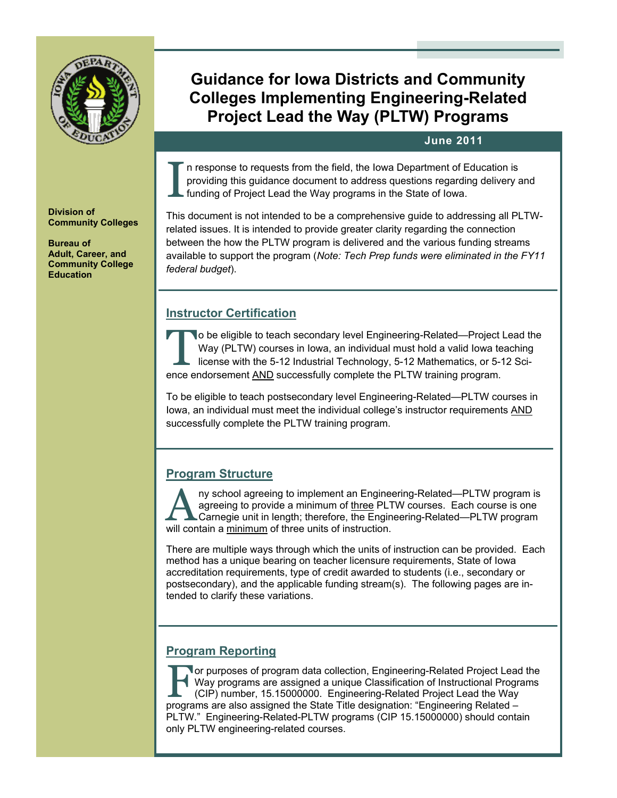

# **Guidance for Iowa Districts and Community Colleges Implementing Engineering-Related Project Lead the Way (PLTW) Programs**

# **June 2011**

I n response to requests from the field, the Iowa Department of Education is<br>providing this guidance document to address questions regarding delivery a<br>funding of Project Lead the Way programs in the State of Iowa. providing this guidance document to address questions regarding delivery and funding of Project Lead the Way programs in the State of Iowa.

This document is not intended to be a comprehensive guide to addressing all PLTWrelated issues. It is intended to provide greater clarity regarding the connection between the how the PLTW program is delivered and the various funding streams available to support the program (*Note: Tech Prep funds were eliminated in the FY11 federal budget*).

# **Instructor Certification**

The be eligible to teach secondary level Engineering-Related—Project Lead the Way (PLTW) courses in lowa, an individual must hold a valid lowa teaching license with the 5-12 Industrial Technology, 5-12 Mathematics, or 5-12 Way (PLTW) courses in Iowa, an individual must hold a valid Iowa teaching ence endorsement AND successfully complete the PLTW training program.

To be eligible to teach postsecondary level Engineering-Related—PLTW courses in Iowa, an individual must meet the individual college's instructor requirements AND successfully complete the PLTW training program.

# **Program Structure**

ny school agreeing to implement an Engineering-Related—PLTW program is agreeing to provide a minimum of three PLTW courses. Each course is one Carnegie unit in length; therefore, the Engineering-Related—PLTW program will contain a minimum of three units of instruction.

There are multiple ways through which the units of instruction can be provided. Each method has a unique bearing on teacher licensure requirements, State of Iowa accreditation requirements, type of credit awarded to students (i.e., secondary or postsecondary), and the applicable funding stream(s). The following pages are intended to clarify these variations.

# **Program Reporting**

**Tor purposes of program data collection, Engineering-Related Project Lead the** Way programs are assigned a unique Classification of Instructional Programs (CIP) number, 15.15000000. Engineering-Related Project Lead the Way programs are also assigned the State Title designation: "Engineering Related – PLTW." Engineering-Related-PLTW programs (CIP 15.15000000) should contain only PLTW engineering-related courses.

**Division of Community Colleges** 

**Bureau of Adult, Career, and Community College Education**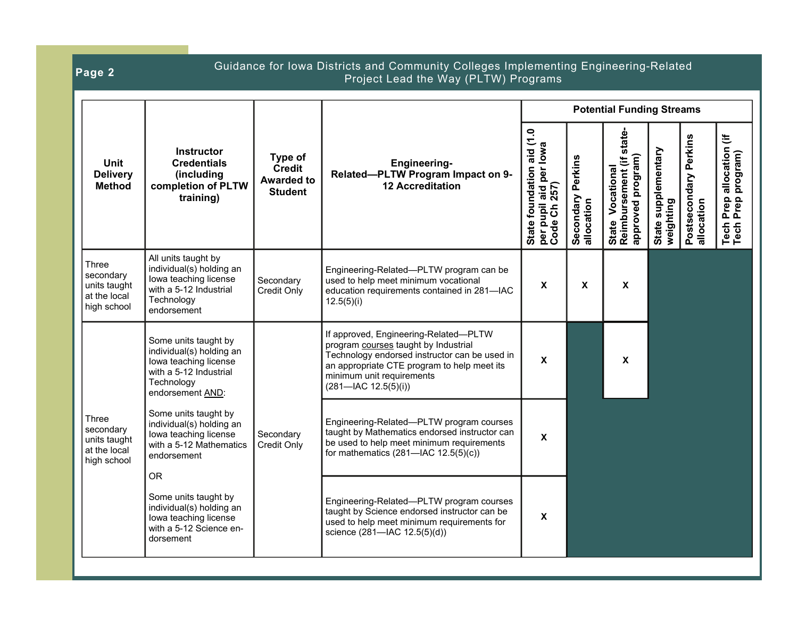|  | Guidance for Iowa Districts and Community Colleges Implementing Engineering-Related<br>Page 2<br>Project Lead the Way (PLTW) Programs |                                                                                                                                       |                                                                 |                                                                                                                                                                                                                                                |                                                                                      |                                      |                                                                     |                                  |                                     |                                                                         |
|--|---------------------------------------------------------------------------------------------------------------------------------------|---------------------------------------------------------------------------------------------------------------------------------------|-----------------------------------------------------------------|------------------------------------------------------------------------------------------------------------------------------------------------------------------------------------------------------------------------------------------------|--------------------------------------------------------------------------------------|--------------------------------------|---------------------------------------------------------------------|----------------------------------|-------------------------------------|-------------------------------------------------------------------------|
|  | <b>Unit</b><br><b>Delivery</b><br><b>Method</b>                                                                                       |                                                                                                                                       |                                                                 |                                                                                                                                                                                                                                                |                                                                                      |                                      | <b>Potential Funding Streams</b>                                    |                                  |                                     |                                                                         |
|  |                                                                                                                                       | <b>Instructor</b><br><b>Credentials</b><br>(including<br>completion of PLTW<br>training)                                              | Type of<br><b>Credit</b><br><b>Awarded to</b><br><b>Student</b> | <b>Engineering-</b><br>Related-PLTW Program Impact on 9-<br><b>12 Accreditation</b>                                                                                                                                                            | aid (1.0<br>  State foundation aid (1.<br>  per pupil aid per lowa<br>  Code Ch 257) | Perkins<br>Secondary I<br>allocation | state<br>approved program)<br>State Vocational<br>Reimbursement (if | State supplementary<br>weighting | Postsecondary Perkins<br>allocation | $\ddot{=}$<br>ا Prep allocation (i<br>Prep program)<br>Tech I<br>Tech F |
|  | Three<br>secondary<br>units taught<br>at the local<br>high school                                                                     | All units taught by<br>individual(s) holding an<br>lowa teaching license<br>with a 5-12 Industrial<br>Technology<br>endorsement       | Secondary<br>Credit Only                                        | Engineering-Related—PLTW program can be<br>used to help meet minimum vocational<br>education requirements contained in 281-IAC<br>12.5(5)(i)                                                                                                   | X                                                                                    | X                                    | $\boldsymbol{\mathsf{x}}$                                           |                                  |                                     |                                                                         |
|  |                                                                                                                                       | Some units taught by<br>individual(s) holding an<br>lowa teaching license<br>with a 5-12 Industrial<br>Technology<br>endorsement AND: |                                                                 | If approved, Engineering-Related-PLTW<br>program courses taught by Industrial<br>Technology endorsed instructor can be used in<br>an appropriate CTE program to help meet its<br>minimum unit requirements<br>$(281 - \text{IAC } 12.5(5)(i))$ | X                                                                                    |                                      | $\boldsymbol{\mathsf{x}}$                                           |                                  |                                     |                                                                         |
|  | Three<br>secondary<br>units taught<br>at the local<br>high school                                                                     | Some units taught by<br>individual(s) holding an<br>lowa teaching license<br>with a 5-12 Mathematics<br>endorsement<br><b>OR</b>      | Secondary<br>Credit Only                                        | Engineering-Related-PLTW program courses<br>taught by Mathematics endorsed instructor can<br>be used to help meet minimum requirements<br>for mathematics $(281 - \text{IAC } 12.5(5)(c))$                                                     | X                                                                                    |                                      |                                                                     |                                  |                                     |                                                                         |
|  |                                                                                                                                       | Some units taught by<br>individual(s) holding an<br>lowa teaching license<br>with a 5-12 Science en-<br>dorsement                     |                                                                 | Engineering-Related-PLTW program courses<br>taught by Science endorsed instructor can be<br>used to help meet minimum requirements for<br>science (281-IAC 12.5(5)(d))                                                                         | X                                                                                    |                                      |                                                                     |                                  |                                     |                                                                         |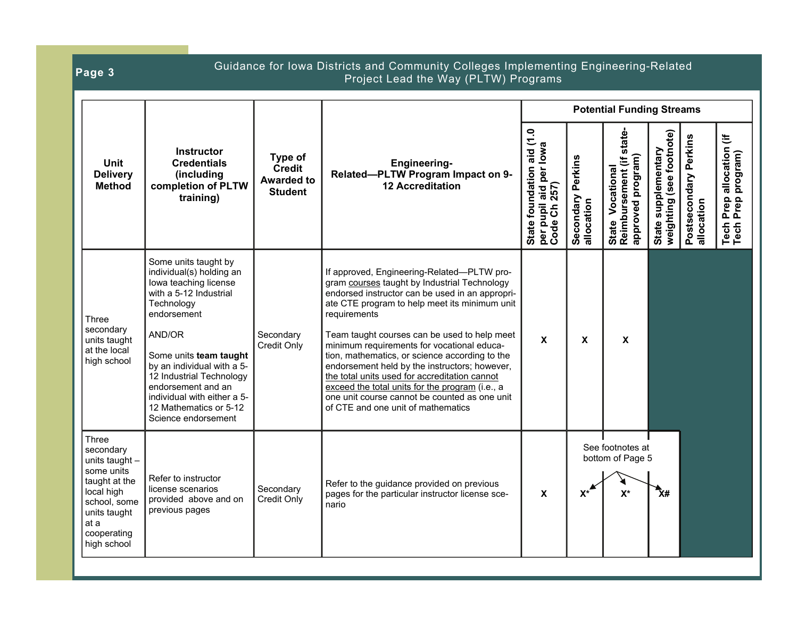| Guidance for Iowa Districts and Community Colleges Implementing Engineering-Related<br>Page 3<br>Project Lead the Way (PLTW) Programs                   |                                                                                                                                                                                                                                                                                                                                      |                                                                 |                                                                                                                                                                                                                                                                                                                                                                                                                                                                                                                                                                                                            |                                                                                |                                      |                                                                      |                                                                          |            |                                                                  |  |
|---------------------------------------------------------------------------------------------------------------------------------------------------------|--------------------------------------------------------------------------------------------------------------------------------------------------------------------------------------------------------------------------------------------------------------------------------------------------------------------------------------|-----------------------------------------------------------------|------------------------------------------------------------------------------------------------------------------------------------------------------------------------------------------------------------------------------------------------------------------------------------------------------------------------------------------------------------------------------------------------------------------------------------------------------------------------------------------------------------------------------------------------------------------------------------------------------------|--------------------------------------------------------------------------------|--------------------------------------|----------------------------------------------------------------------|--------------------------------------------------------------------------|------------|------------------------------------------------------------------|--|
|                                                                                                                                                         |                                                                                                                                                                                                                                                                                                                                      |                                                                 |                                                                                                                                                                                                                                                                                                                                                                                                                                                                                                                                                                                                            | <b>Potential Funding Streams</b>                                               |                                      |                                                                      |                                                                          |            |                                                                  |  |
| <b>Unit</b><br><b>Delivery</b><br><b>Method</b>                                                                                                         | Instructor<br><b>Credentials</b><br>(including<br>completion of PLTW<br>training)                                                                                                                                                                                                                                                    | Type of<br><b>Credit</b><br><b>Awarded to</b><br><b>Student</b> | <b>Engineering-</b><br>Related-PLTW Program Impact on 9-<br><b>12 Accreditation</b>                                                                                                                                                                                                                                                                                                                                                                                                                                                                                                                        | aid (1.0<br>State foundation aid (1.<br>per pupil aid per lowa<br>Code Ch 257) | Perkins<br>Secondary I<br>allocation | state-<br>approved program)<br>State Vocational<br>Reimbursement (if | weighting (see footnote)<br>Postsecondary Perkins<br>State supplementary | allocation | allocation (if<br>program)<br>Prep a<br>Prep I<br>Tech  <br>Tech |  |
| Three<br>secondary<br>units taught<br>at the local<br>high school                                                                                       | Some units taught by<br>individual(s) holding an<br>lowa teaching license<br>with a 5-12 Industrial<br>Technology<br>endorsement<br>AND/OR<br>Some units team taught<br>by an individual with a 5-<br>12 Industrial Technology<br>endorsement and an<br>individual with either a 5-<br>12 Mathematics or 5-12<br>Science endorsement | Secondary<br>Credit Only                                        | If approved, Engineering-Related-PLTW pro-<br>gram courses taught by Industrial Technology<br>endorsed instructor can be used in an appropri-<br>ate CTE program to help meet its minimum unit<br>requirements<br>Team taught courses can be used to help meet<br>minimum requirements for vocational educa-<br>tion, mathematics, or science according to the<br>endorsement held by the instructors; however,<br>the total units used for accreditation cannot<br>exceed the total units for the program (i.e., a<br>one unit course cannot be counted as one unit<br>of CTE and one unit of mathematics | X                                                                              | X                                    | X                                                                    |                                                                          |            |                                                                  |  |
| Three<br>secondary<br>units taught -<br>some units<br>taught at the<br>local high<br>school, some<br>units taught<br>at a<br>cooperating<br>high school | Refer to instructor<br>license scenarios<br>provided above and on<br>previous pages                                                                                                                                                                                                                                                  | Secondary<br>Credit Only                                        | Refer to the guidance provided on previous<br>pages for the particular instructor license sce-<br>nario                                                                                                                                                                                                                                                                                                                                                                                                                                                                                                    | X                                                                              | $x^*$                                | See footnotes at<br>bottom of Page 5<br>$X^*$                        | ◆<br>X#                                                                  |            |                                                                  |  |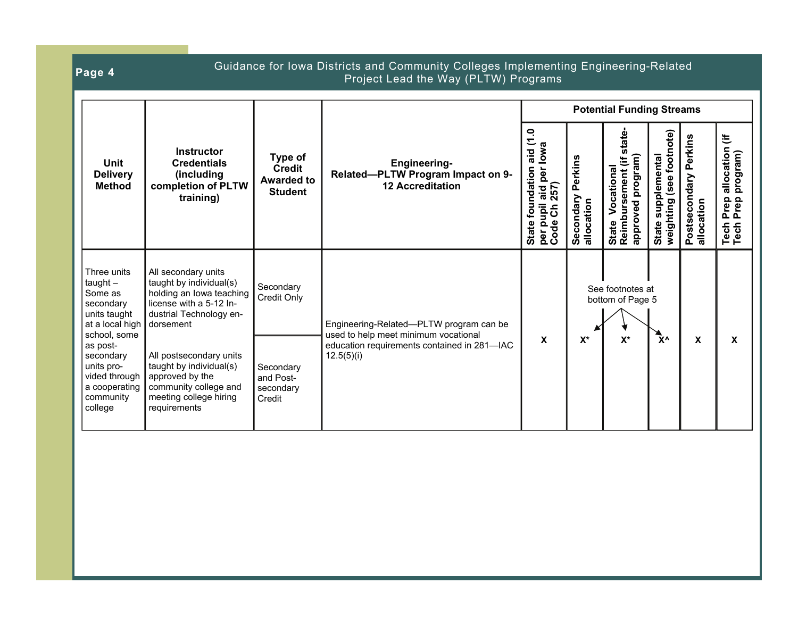| Page 4                                                                                                                                                                                                |                                                                                                                                                                                                                                                                                           |                                                                           | Guidance for Iowa Districts and Community Colleges Implementing Engineering-Related<br>Project Lead the Way (PLTW) Programs                  |                                                                                        |                                    |                                                                         |                                                   |                                     |                                                             |
|-------------------------------------------------------------------------------------------------------------------------------------------------------------------------------------------------------|-------------------------------------------------------------------------------------------------------------------------------------------------------------------------------------------------------------------------------------------------------------------------------------------|---------------------------------------------------------------------------|----------------------------------------------------------------------------------------------------------------------------------------------|----------------------------------------------------------------------------------------|------------------------------------|-------------------------------------------------------------------------|---------------------------------------------------|-------------------------------------|-------------------------------------------------------------|
|                                                                                                                                                                                                       |                                                                                                                                                                                                                                                                                           |                                                                           |                                                                                                                                              | <b>Potential Funding Streams</b>                                                       |                                    |                                                                         |                                                   |                                     |                                                             |
| <b>Unit</b><br><b>Delivery</b><br><b>Method</b>                                                                                                                                                       | <b>Instructor</b><br><b>Credentials</b><br>(including<br>completion of PLTW<br>training)                                                                                                                                                                                                  | Type of<br><b>Credit</b><br><b>Awarded to</b><br><b>Student</b>           | <b>Engineering-</b><br>Related-PLTW Program Impact on 9-<br><b>12 Accreditation</b>                                                          | aid (1.0<br>aid per lowa<br>foundation<br>257)<br>State four<br>per pupil<br>Code Ch 2 | Perkins<br>Secondary<br>allocation | state-<br>program)<br>State Vocational<br>Reimbursement (if<br>approved | weighting (see footnote)<br>supplemental<br>State | Postsecondary Perkins<br>allocation | こ<br>allocation<br>program)<br>Prep<br>Prep<br>Tech<br>Tech |
| Three units<br>$taught -$<br>Some as<br>secondary<br>units taught<br>at a local high<br>school, some<br>as post-<br>secondary<br>units pro-<br>vided through<br>a cooperating<br>community<br>college | All secondary units<br>taught by individual(s)<br>holding an lowa teaching<br>license with a 5-12 In-<br>dustrial Technology en-<br>dorsement<br>All postsecondary units<br>taught by individual(s)<br>approved by the<br>community college and<br>meeting college hiring<br>requirements | Secondary<br>Credit Only<br>Secondary<br>and Post-<br>secondary<br>Credit | Engineering-Related-PLTW program can be<br>used to help meet minimum vocational<br>education requirements contained in 281-IAC<br>12.5(5)(i) | $\mathbf x$                                                                            | $\mathsf{X}^\star$                 | See footnotes at<br>bottom of Page 5<br>$X^*$                           | γ۸                                                | X                                   | <b>X</b>                                                    |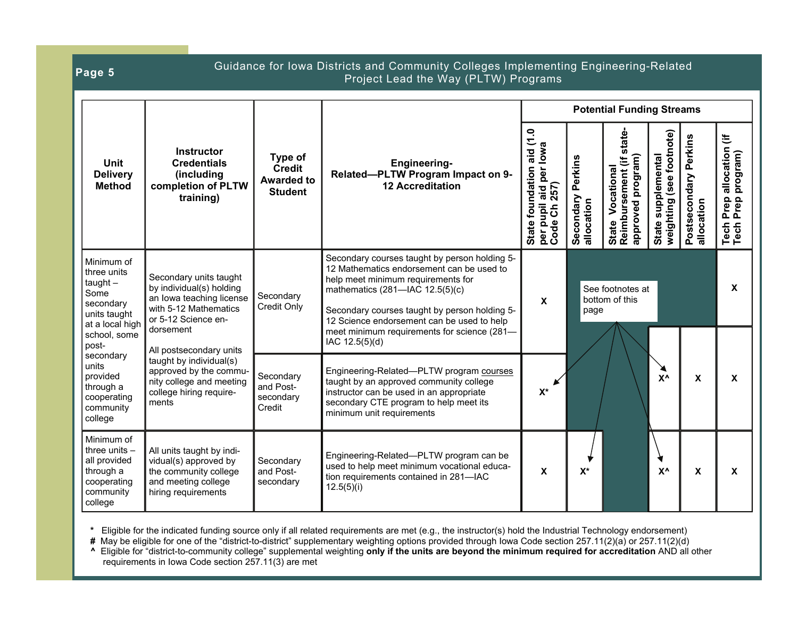| Page 5                                                                                                                   |                                                                                                                                              |                                                                 | Guidance for Iowa Districts and Community Colleges Implementing Engineering-Related<br>Project Lead the Way (PLTW) Programs                                                                                                                                                                                                         |                                                                                |                                            |                                                                      |                                                   |                                     |                                                               |  |
|--------------------------------------------------------------------------------------------------------------------------|----------------------------------------------------------------------------------------------------------------------------------------------|-----------------------------------------------------------------|-------------------------------------------------------------------------------------------------------------------------------------------------------------------------------------------------------------------------------------------------------------------------------------------------------------------------------------|--------------------------------------------------------------------------------|--------------------------------------------|----------------------------------------------------------------------|---------------------------------------------------|-------------------------------------|---------------------------------------------------------------|--|
|                                                                                                                          |                                                                                                                                              |                                                                 |                                                                                                                                                                                                                                                                                                                                     | <b>Potential Funding Streams</b>                                               |                                            |                                                                      |                                                   |                                     |                                                               |  |
| <b>Unit</b><br><b>Delivery</b><br><b>Method</b>                                                                          | <b>Instructor</b><br><b>Credentials</b><br>(including<br>completion of PLTW<br>training)                                                     | Type of<br><b>Credit</b><br><b>Awarded to</b><br><b>Student</b> | <b>Engineering-</b><br>Related-PLTW Program Impact on 9-<br><b>12 Accreditation</b>                                                                                                                                                                                                                                                 | aid (1.0<br>State foundation aid (1.<br>per pupil aid per lowa<br>Code Ch 257) | Perkins<br>Secondary<br>allocation         | state-<br>approved program)<br>State Vocational<br>Reimbursement (if | weighting (see footnote)<br>supplemental<br>State | Postsecondary Perkins<br>allocation | Ë<br>allocation<br>program)<br>Prep<br>Prep<br>Tech<br>Tech I |  |
| Minimum of<br>three units<br>$taught -$<br>Some<br>secondary<br>units taught<br>at a local high<br>school, some<br>post- | Secondary units taught<br>by individual(s) holding<br>an Iowa teaching license<br>with 5-12 Mathematics<br>or 5-12 Science en-<br>dorsement  | Secondary<br>Credit Only                                        | Secondary courses taught by person holding 5-<br>12 Mathematics endorsement can be used to<br>help meet minimum requirements for<br>mathematics (281-IAC 12.5(5)(c)<br>Secondary courses taught by person holding 5-<br>12 Science endorsement can be used to help<br>meet minimum requirements for science (281-<br>IAC 12.5(5)(d) | X                                                                              | See footnotes at<br>bottom of this<br>page |                                                                      |                                                   |                                     | X                                                             |  |
| secondary<br>units<br>provided<br>through a<br>cooperating<br>community<br>college                                       | All postsecondary units<br>taught by individual(s)<br>approved by the commu-<br>nity college and meeting<br>college hiring require-<br>ments | Secondary<br>and Post-<br>secondary<br>Credit                   | Engineering-Related-PLTW program courses<br>taught by an approved community college<br>instructor can be used in an appropriate<br>secondary CTE program to help meet its<br>minimum unit requirements                                                                                                                              | $\mathsf{X}^\star$                                                             |                                            |                                                                      | $X^{\Lambda}$                                     | X                                   | $\mathbf{x}$                                                  |  |
| Minimum of<br>three units $-$<br>all provided<br>through a<br>cooperating<br>community<br>college                        | All units taught by indi-<br>vidual(s) approved by<br>the community college<br>and meeting college<br>hiring requirements                    | Secondary<br>and Post-<br>secondary                             | Engineering-Related-PLTW program can be<br>used to help meet minimum vocational educa-<br>tion requirements contained in 281-IAC<br>12.5(5)(i)                                                                                                                                                                                      | X                                                                              | $\mathsf{X}^\star$                         |                                                                      | $X^{\Lambda}$                                     | X                                   | X                                                             |  |

**\*** Eligible for the indicated funding source only if all related requirements are met (e.g., the instructor(s) hold the Industrial Technology endorsement)

**#** May be eligible for one of the "district-to-district" supplementary weighting options provided through Iowa Code section 257.11(2)(a) or 257.11(2)(d)

**^** Eligible for "district-to-community college" supplemental weighting **only if the units are beyond the minimum required for accreditation** AND all other requirements in Iowa Code section 257.11(3) are met